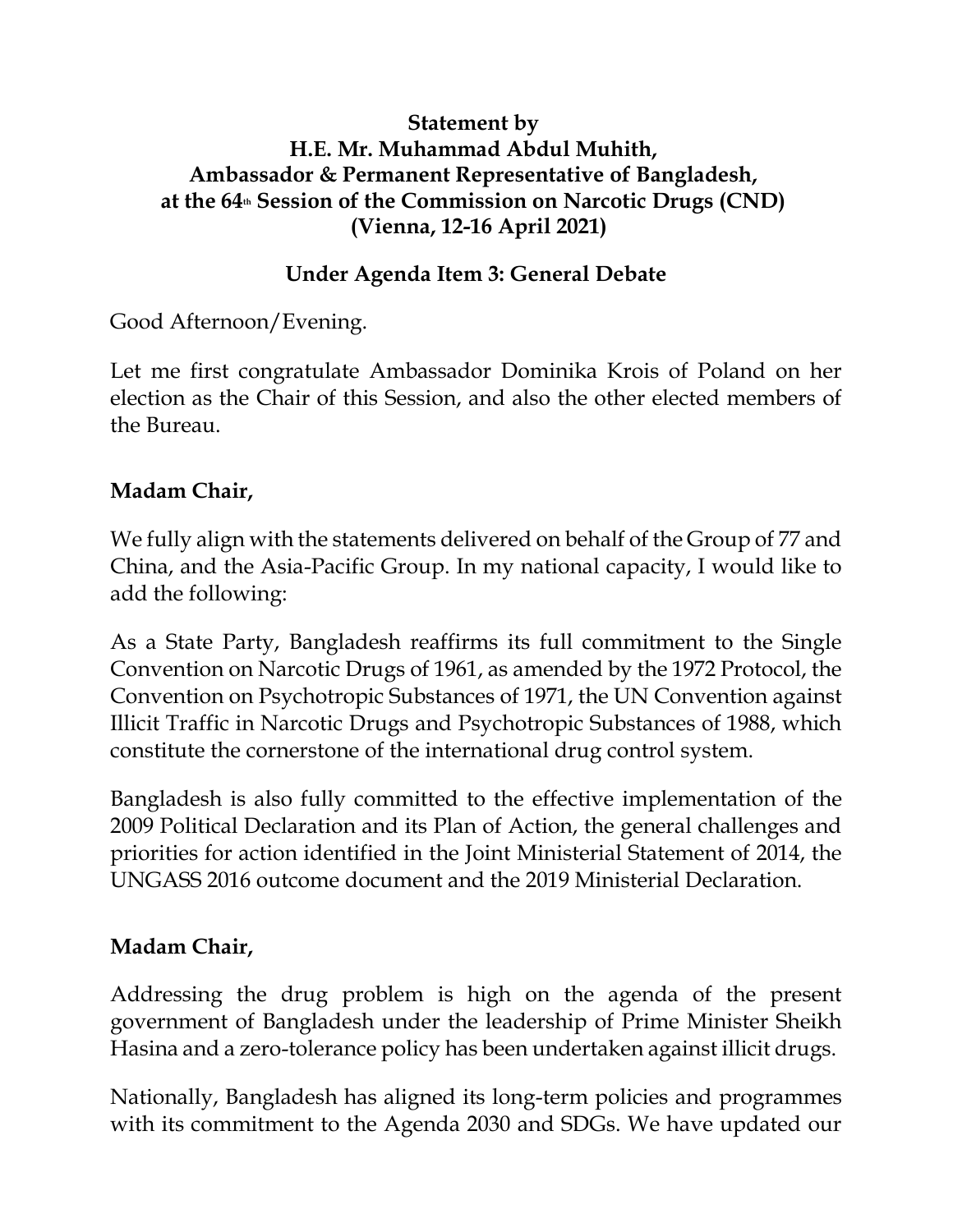#### **Statement by H.E. Mr. Muhammad Abdul Muhith, Ambassador & Permanent Representative of Bangladesh, at the 64th Session of the Commission on Narcotic Drugs (CND) (Vienna, 12-16 April 2021)**

#### **Under Agenda Item 3: General Debate**

Good Afternoon/Evening.

Let me first congratulate Ambassador Dominika Krois of Poland on her election as the Chair of this Session, and also the other elected members of the Bureau.

### **Madam Chair,**

We fully align with the statements delivered on behalf of the Group of 77 and China, and the Asia-Pacific Group. In my national capacity, I would like to add the following:

As a State Party, Bangladesh reaffirms its full commitment to the Single Convention on Narcotic Drugs of 1961, as amended by the 1972 Protocol, the Convention on Psychotropic Substances of 1971, the UN Convention against Illicit Traffic in Narcotic Drugs and Psychotropic Substances of 1988, which constitute the cornerstone of the international drug control system.

Bangladesh is also fully committed to the effective implementation of the 2009 Political Declaration and its Plan of Action, the general challenges and priorities for action identified in the Joint Ministerial Statement of 2014, the UNGASS 2016 outcome document and the 2019 Ministerial Declaration.

## **Madam Chair,**

Addressing the drug problem is high on the agenda of the present government of Bangladesh under the leadership of Prime Minister Sheikh Hasina and a zero-tolerance policy has been undertaken against illicit drugs.

Nationally, Bangladesh has aligned its long-term policies and programmes with its commitment to the Agenda 2030 and SDGs. We have updated our